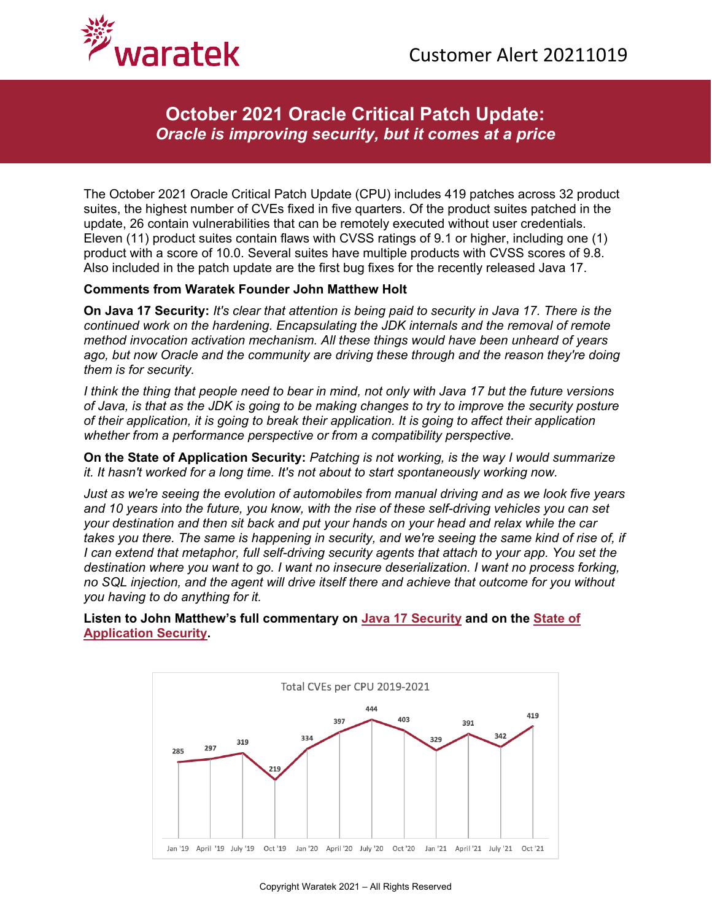

## **October 2021 Oracle Critical Patch Update:** *Oracle is improving security, but it comes at a price*

The October 2021 Oracle Critical Patch Update (CPU) includes 419 patches across 32 product suites, the highest number of CVEs fixed in five quarters. Of the product suites patched in the update, 26 contain vulnerabilities that can be remotely executed without user credentials. Eleven (11) product suites contain flaws with CVSS ratings of 9.1 or higher, including one (1) product with a score of 10.0. Several suites have multiple products with CVSS scores of 9.8. Also included in the patch update are the first bug fixes for the recently released Java 17.

## **Comments from Waratek Founder John Matthew Holt**

**On Java 17 Security:** *It's clear that attention is being paid to security in Java 17. There is the continued work on the hardening. Encapsulating the JDK internals and the removal of remote method invocation activation mechanism. All these things would have been unheard of years ago, but now Oracle and the community are driving these through and the reason they're doing them is for security.* 

*I think the thing that people need to bear in mind, not only with Java 17 but the future versions of Java, is that as the JDK is going to be making changes to try to improve the security posture of their application, it is going to break their application. It is going to affect their application whether from a performance perspective or from a compatibility perspective.* 

**On the State of Application Security:** *Patching is not working, is the way I would summarize it. It hasn't worked for a long time. It's not about to start spontaneously working now.* 

*Just as we're seeing the evolution of automobiles from manual driving and as we look five years and 10 years into the future, you know, with the rise of these self-driving vehicles you can set your destination and then sit back and put your hands on your head and relax while the car takes you there. The same is happening in security, and we're seeing the same kind of rise of, if I can extend that metaphor, full self-driving security agents that attach to your app. You set the destination where you want to go. I want no insecure deserialization. I want no process forking, no SQL injection, and the agent will drive itself there and achieve that outcome for you without you having to do anything for it.*

**Listen to John Matthew's full commentary on [Java 17 Security](https://www.waratek.com/wp-content/uploads/2021/10/20211019-JM-Java-17-Pros-Cons.mp3) and on the [State of](https://www.waratek.com/wp-content/uploads/2021/10/20211019-JM-Patching-is-Not-Working.mp3)  [Application Security.](https://www.waratek.com/wp-content/uploads/2021/10/20211019-JM-Patching-is-Not-Working.mp3)**